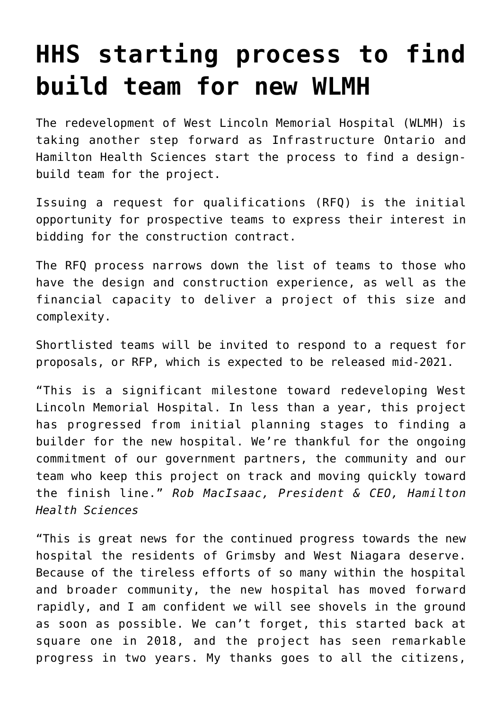## **[HHS starting process to find](https://wlmh.ca/rebuild-project-reaches-another-milestone/) [build team for new WLMH](https://wlmh.ca/rebuild-project-reaches-another-milestone/)**

The redevelopment of West Lincoln Memorial Hospital (WLMH) is taking another step forward as Infrastructure Ontario and Hamilton Health Sciences start the process to find a designbuild team for the project.

Issuing a request for qualifications (RFQ) is the initial opportunity for prospective teams to express their interest in bidding for the construction contract.

The RFQ process narrows down the list of teams to those who have the design and construction experience, as well as the financial capacity to deliver a project of this size and complexity.

Shortlisted teams will be invited to respond to a request for proposals, or RFP, which is expected to be released mid-2021.

"This is a significant milestone toward redeveloping West Lincoln Memorial Hospital. In less than a year, this project has progressed from initial planning stages to finding a builder for the new hospital. We're thankful for the ongoing commitment of our government partners, the community and our team who keep this project on track and moving quickly toward the finish line." *Rob MacIsaac, President & CEO, Hamilton Health Sciences*

"This is great news for the continued progress towards the new hospital the residents of Grimsby and West Niagara deserve. Because of the tireless efforts of so many within the hospital and broader community, the new hospital has moved forward rapidly, and I am confident we will see shovels in the ground as soon as possible. We can't forget, this started back at square one in 2018, and the project has seen remarkable progress in two years. My thanks goes to all the citizens,